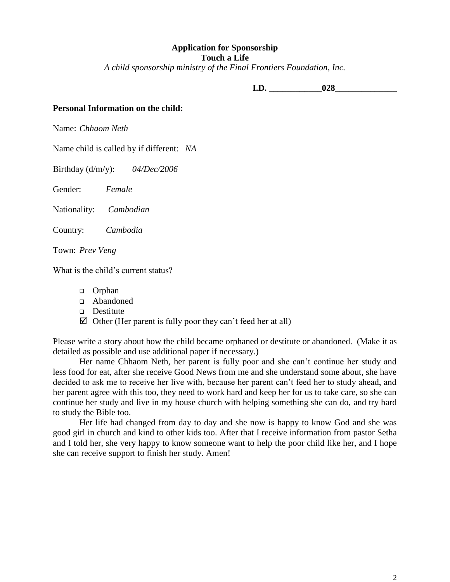### **Application for Sponsorship Touch a Life**

*A child sponsorship ministry of the Final Frontiers Foundation, Inc.*

**I.D.**  $028$ 

# **Personal Information on the child:**

Name: *Chhaom Neth*

Name child is called by if different: *NA*

Birthday (d/m/y): *04/Dec/2006*

Gender: *Female*

Nationality: *Cambodian*

Country: *Cambodia*

Town: *Prev Veng*

What is the child's current status?

- **Orphan**
- Abandoned
- Destitute
- $\boxtimes$  Other (Her parent is fully poor they can't feed her at all)

Please write a story about how the child became orphaned or destitute or abandoned. (Make it as detailed as possible and use additional paper if necessary.)

Her name Chhaom Neth, her parent is fully poor and she can't continue her study and less food for eat, after she receive Good News from me and she understand some about, she have decided to ask me to receive her live with, because her parent can't feed her to study ahead, and her parent agree with this too, they need to work hard and keep her for us to take care, so she can continue her study and live in my house church with helping something she can do, and try hard to study the Bible too.

Her life had changed from day to day and she now is happy to know God and she was good girl in church and kind to other kids too. After that I receive information from pastor Setha and I told her, she very happy to know someone want to help the poor child like her, and I hope she can receive support to finish her study. Amen!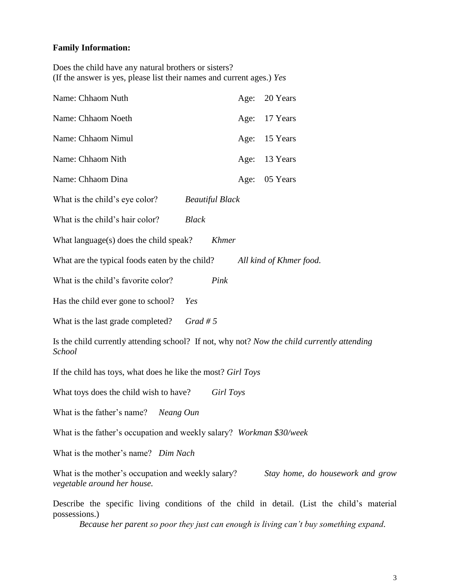# **Family Information:**

Does the child have any natural brothers or sisters? (If the answer is yes, please list their names and current ages.) *Yes*

| Name: Chhaom Nuth<br>Age:                                                                                             | 20 Years                |
|-----------------------------------------------------------------------------------------------------------------------|-------------------------|
| Name: Chhaom Noeth<br>Age:                                                                                            | 17 Years                |
| Name: Chhaom Nimul<br>Age:                                                                                            | 15 Years                |
| Name: Chhaom Nith<br>Age:                                                                                             | 13 Years                |
| Name: Chhaom Dina<br>Age:                                                                                             | 05 Years                |
| What is the child's eye color?<br><b>Beautiful Black</b>                                                              |                         |
| What is the child's hair color?<br><b>Black</b>                                                                       |                         |
| What language(s) does the child speak?<br><b>Khmer</b>                                                                |                         |
| What are the typical foods eaten by the child?                                                                        | All kind of Khmer food. |
| What is the child's favorite color?<br>Pink                                                                           |                         |
| Has the child ever gone to school?<br>Yes                                                                             |                         |
| Grad #5<br>What is the last grade completed?                                                                          |                         |
| Is the child currently attending school? If not, why not? Now the child currently attending<br>School                 |                         |
| If the child has toys, what does he like the most? Girl Toys                                                          |                         |
| What toys does the child wish to have?<br>Girl Toys                                                                   |                         |
| What is the father's name?<br>Neang Oun                                                                               |                         |
| What is the father's occupation and weekly salary? Workman \$30/week                                                  |                         |
| What is the mother's name? Dim Nach                                                                                   |                         |
| What is the mother's occupation and weekly salary?<br>Stay home, do housework and grow<br>vegetable around her house. |                         |
| Describe the specific living conditions of the child in detail. (List the child's material<br>possessions.)           |                         |

*Because her parent so poor they just can enough is living can't buy something expand.*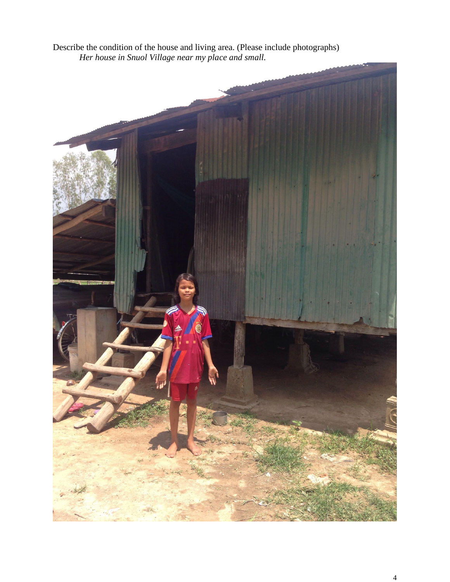Describe the condition of the house and living area. (Please include photographs) *Her house in Snuol Village near my place and small.*

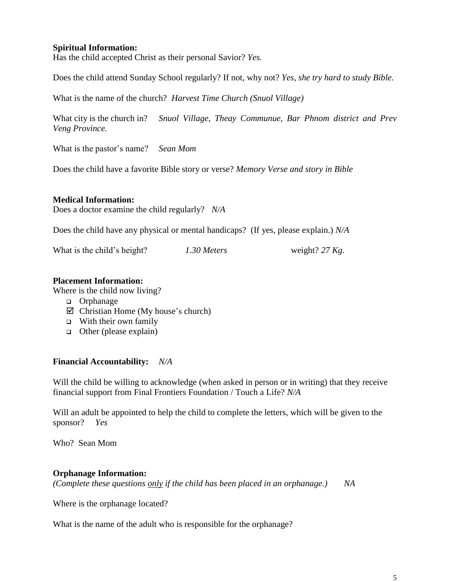# **Spiritual Information:**

Has the child accepted Christ as their personal Savior? *Yes.*

Does the child attend Sunday School regularly? If not, why not? *Yes, she try hard to study Bible.*

What is the name of the church? *Harvest Time Church (Snuol Village)*

What city is the church in? *Snuol Village, Theay Communue, Bar Phnom district and Prev Veng Province.*

What is the pastor's name? *Sean Mom*

Does the child have a favorite Bible story or verse? *Memory Verse and story in Bible*

## **Medical Information:**

Does a doctor examine the child regularly? *N/A*

Does the child have any physical or mental handicaps? (If yes, please explain.) *N/A*

What is the child's height? *1.30 Meters* weight? *27 Kg.*

#### **Placement Information:**

Where is the child now living?

- □ Orphanage
- $\boxtimes$  Christian Home (My house's church)
- $\Box$  With their own family
- $\Box$  Other (please explain)

## **Financial Accountability:** *N/A*

Will the child be willing to acknowledge (when asked in person or in writing) that they receive financial support from Final Frontiers Foundation / Touch a Life? *N/A*

Will an adult be appointed to help the child to complete the letters, which will be given to the sponsor? *Yes*

Who? Sean Mom

## **Orphanage Information:**

*(Complete these questions only if the child has been placed in an orphanage.) NA*

Where is the orphanage located?

What is the name of the adult who is responsible for the orphanage?